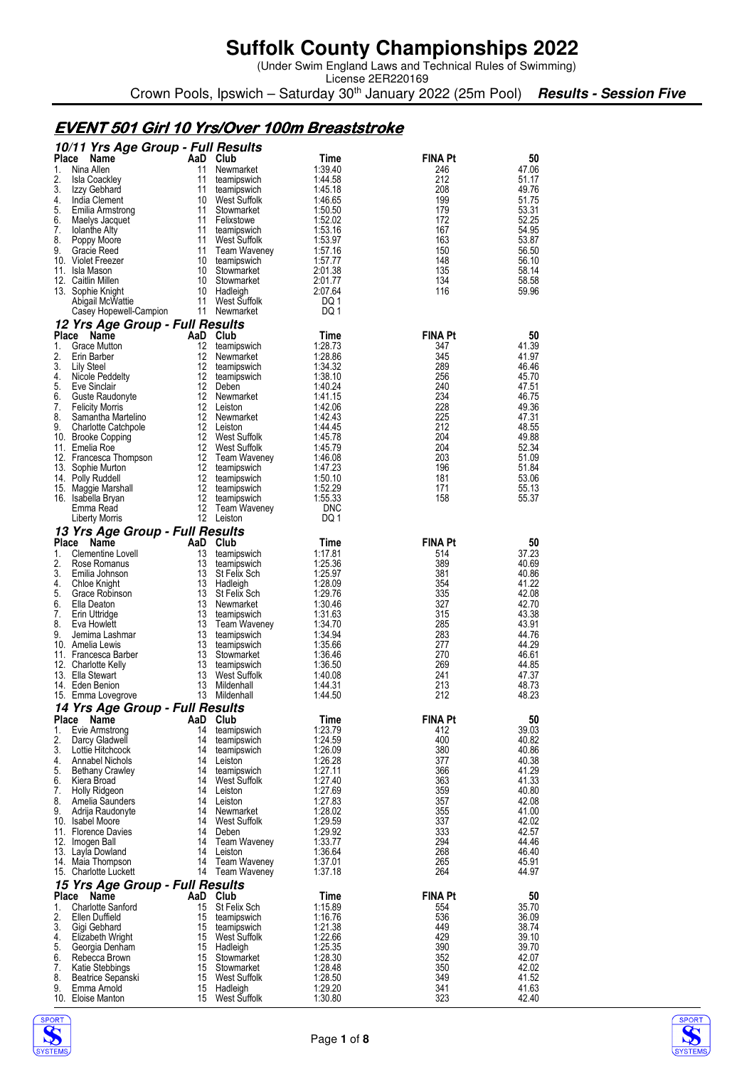(Under Swim England Laws and Technical Rules of Swimming)

License 2ER220169 Crown Pools, Ipswich – Saturday 30<sup>th</sup> January 2022 (25m Pool) **Results - Session Five** 

### **EVENT 501 Girl 10 Yrs/Over 100m Breaststroke**

|                    | 10/11 Yrs Age Group - Full Results             |          |                                  |                    |                       |                |
|--------------------|------------------------------------------------|----------|----------------------------------|--------------------|-----------------------|----------------|
| <b>Place</b><br>1. | Name<br>Nina Allen                             | 11       | AaD Club<br>Newmarket            | Time<br>1:39.40    | <b>FINA Pt</b><br>246 | 50<br>47.06    |
| 2.                 | Isla Coackley                                  | 11       | teamipswich                      | 1:44.58            | 212                   | 51.17          |
| 3.                 | Izzy Gebhard                                   | 11       | teamipswich                      | 1:45.18            | 208                   | 49.76          |
| 4.                 | India Clement                                  | 10       | West Suffolk                     | 1:46.65            | 199                   | 51.75          |
| 5.                 | Emilia Armstrong                               | 11       | Stowmarket                       | 1:50.50            | 179                   | 53.31          |
| 6.                 | Maelys Jacquet                                 | 11       | Felixstowe                       | 1.52.02            | 172                   | 52.25          |
| 7.<br>8.           | <b>Iolanthe Alty</b><br>Poppy Moore            | 11<br>11 | teamipswich<br>West Suffolk      | 1.53.16<br>1:53.97 | 167<br>163            | 54.95<br>53.87 |
| 9.                 | Gracie Reed                                    | 11       | <b>Team Waveney</b>              | 1:57.16            | 150                   | 56.50          |
|                    | 10. Violet Freezer                             | 10       | teamipswich                      | 1.57.77            | 148                   | 56.10          |
|                    | 11. Isla Mason                                 | 10       | Stowmarket                       | 2:01.38            | 135                   | 58.14          |
|                    | 12. Caitlin Millen                             | 10       | Stowmarket                       | 2:01.77            | 134                   | 58.58          |
|                    | 13. Sophie Knight                              | 10<br>11 | Hadleigh                         | 2:07.64            | 116                   | 59.96          |
|                    | Abigail McWattie<br>Casey Hopewell-Campion     | 11       | West Suffolk<br>Newmarket        | DQ 1<br>DQ 1       |                       |                |
|                    | 12 Yrs Age Group - Full Results                |          |                                  |                    |                       |                |
| Place              | Name                                           |          | AaD Club                         | Time               | <b>FINA Pt</b>        | 50             |
| 1.                 | Grace Mutton                                   | 12       | teamipswich                      | 1:28.73            | 347                   | 41.39          |
| 2.                 | Erin Barber                                    | 12       | Newmarket                        | 1:28.86            | 345                   | 41.97          |
| 3.                 | Lily Steel                                     | 12       | teamipswich                      | 1:34:32            | 289                   | 46.46          |
| 4.                 | Nicole Peddelty                                | 12       | teamipswich                      | 1:38.10            | 256                   | 45.70          |
| 5.<br>6.           | Eve Sinclair<br>Guste Raudonyte                | 12<br>12 | Deben<br>Newmarket               | 1:40.24<br>1:41.15 | 240<br>234            | 47.51<br>46.75 |
| 7.                 | <b>Felicity Morris</b>                         | 12       | Leiston                          | 1:42.06            | 228                   | 49.36          |
| 8.                 | Samantha Martelino                             | 12       | Newmarket                        | 1:42.43            | 225                   | 47.31          |
| 9.                 | <b>Charlotte Catchpole</b>                     | 12       | Leiston                          | 1:44.45            | 212                   | 48.55          |
|                    | 10. Brooke Copping                             | 12       | West Suffolk                     | 1:45.78            | 204                   | 49.88          |
|                    | 11. Emelia Roe                                 | 12       | West Suffolk                     | 1:45.79            | 204                   | 52.34          |
|                    | 12. Francesca Thompson                         | 12       | Team Waveney                     | 1:46.08            | 203<br>196            | 51.09          |
|                    | 13. Sophie Murton<br>14. Polly Ruddell         | 12<br>12 | teamipswich<br>teamipswich       | 1.47.23<br>1:50.10 | 181                   | 51.84<br>53.06 |
|                    | 15. Maggie Marshall                            | 12       | teamipswich                      | 1:52.29            | 171                   | 55.13          |
|                    | 16. Isabella Bryan                             | 12       | teamipswich                      | 1:55.33            | 158                   | 55.37          |
|                    | Emma Read                                      | 12       | Team Waveney                     | <b>DNC</b>         |                       |                |
|                    | Liberty Morris                                 |          | 12 Leiston                       | DQ 1               |                       |                |
|                    | 13 Yrs Age Group - Full Results                |          |                                  |                    |                       |                |
| Place              | Name<br>AaD                                    |          | Club                             | Time               | <b>FINA Pt</b>        | 50             |
| 1.<br>2.           | Clementine Lovell<br>Rose Romanus              | 13<br>13 | teamipswich<br>teamipswich       | 1:17.81<br>1:25.36 | 514<br>389            | 37.23<br>40.69 |
|                    |                                                |          |                                  |                    |                       |                |
|                    |                                                |          |                                  |                    |                       |                |
| 3.<br>4.           | Emilia Johnson                                 | 13<br>13 | St Felix Sch                     | 1:25.97<br>1:28.09 | 381<br>354            | 40.86<br>41.22 |
| 5.                 | Chloe Knight<br>Grace Robinson                 | 13       | Hadleigh<br>St Felix Sch         | 1:29.76            | 335                   | 42.08          |
| 6.                 | Ella Deaton                                    | 13       | Newmarket                        | 1:30.46            | 327                   | 42.70          |
| 7.                 | Erin Uttridge                                  | 13       | teamipswich                      | 1:31.63            | 315                   | 43.38          |
| 8.                 | Eva Howlett                                    | 13       | Team Waveney                     | 1:34.70            | 285                   | 43.91          |
| 9.                 | Jemima Lashmar                                 | 13       | teamipswich                      | 1:34.94            | 283                   | 44.76          |
|                    | 10. Amelia Lewis                               | 13       | teamipswich                      | 1:35.66<br>1:36.46 | 277<br>270            | 44.29<br>46.61 |
|                    | 11. Francesca Barber<br>12. Charlotte Kelly    | 13<br>13 | Stowmarket<br>teamipswich        | 1:36.50            | 269                   | 44.85          |
|                    | 13. Ella Stewart                               | 13       | West Suffolk                     | 1:40.08            | 241                   | 47.37          |
|                    | 14. Eden Benion                                | 13       | Mildenhall                       | 1:44.31            | 213                   | 48.73          |
|                    | 15. Emma Lovegrove                             | 13       | Mildenhall                       | 1:44.50            | 212                   | 48.23          |
|                    | 14 Yrs Age Group - Full Results                |          |                                  |                    |                       |                |
|                    | Place Name<br>AaD                              |          | Club                             | Time               | <b>FINA Pt</b>        | 50             |
| 1.<br>2.           | Evie Armstrong                                 | 14<br>14 | teamipswich                      | 1:23.79            | 412<br>400            | 39.03          |
| 3.                 | Darcy Gladwell<br>Lottie Hitchcock             | 14       | teamipswich<br>teamipswich       | 1:24.59<br>1:26.09 | 380                   | 40.82<br>40.86 |
| 4.                 | Annabel Nichols                                | 14       | Leiston                          | 1:26.28            | 377                   | 40.38          |
| 5.                 | Bethany Crawley                                | 14       | teamipswich                      | 1:27.11            | 366                   | 41.29          |
| 6.                 | Kiera Broad                                    | 14       | <b>West Suffolk</b>              | 1:27.40            | 363                   | 41.33          |
| 7.                 | Holly Ridgeon                                  | 14       | Leiston                          | 1:27.69            | 359                   | 40.80          |
| 8.                 | Amelia Saunders                                | 14<br>14 | Leiston                          | 1:27.83            | 357                   | 42.08          |
| 9.                 | Adrija Raudonyte<br>10. Isabel Moore           | 14       | Newmarket<br><b>West Suffolk</b> | 1:28.02<br>1:29.59 | 355<br>337            | 41.00<br>42.02 |
|                    | 11. Florence Davies                            | 14       | Deben                            | 1:29.92            | 333                   | 42.57          |
|                    | 12. Imogen Ball                                | 14       | Team Waveney                     | 1:33.77            | 294                   | 44.46          |
|                    | 13. Layla Dowland                              | 14       | Leiston                          | 1:36.64            | 268                   | 46.40          |
|                    | 14. Maia Thompson                              | 14       | Team Waveney                     | 1:37.01            | 265                   | 45.91          |
|                    | 15. Charlotte Luckett                          |          | 14 Team Waveney                  | 1:37.18            | 264                   | 44.97          |
| Place              | 15 Yrs Age Group - Full Results<br>Name<br>AaD |          | Club                             | Time               | <b>FINA Pt</b>        | 50             |
| 1.                 | <b>Charlotte Sanford</b>                       | 15       | St Felix Sch                     | 1:15.89            | 554                   | 35.70          |
| 2.                 | Ellen Duffield                                 | 15       | teamipswich                      | 1:16.76            | 536                   | 36.09          |
| 3.                 | Gigi Gebhard                                   | 15       | teamipswich                      | 1:21.38            | 449                   | 38.74          |
| 4.                 | Elizabeth Wright                               | 15       | West Suffolk                     | 1:22.66            | 429                   | 39.10          |
| 5.                 | Georgia Denham                                 | 15       | Hadleigh                         | 1:25.35            | 390                   | 39.70          |
| 6.<br>7.           | Rebecca Brown                                  | 15<br>15 | Stowmarket                       | 1:28.30            | 352<br>350            | 42.07          |
| 8.                 | Katie Stebbings<br>Beatrice Sepanski           | 15       | Stowmarket<br>West Suffolk       | 1:28.48<br>1:28.50 | 349                   | 42.02<br>41.52 |
| 9.                 | Emma Arnold<br>10. Eloise Manton               | 15<br>15 | Hadleigh<br>West Suffolk         | 1:29.20<br>1:30.80 | 341<br>323            | 41.63<br>42.40 |



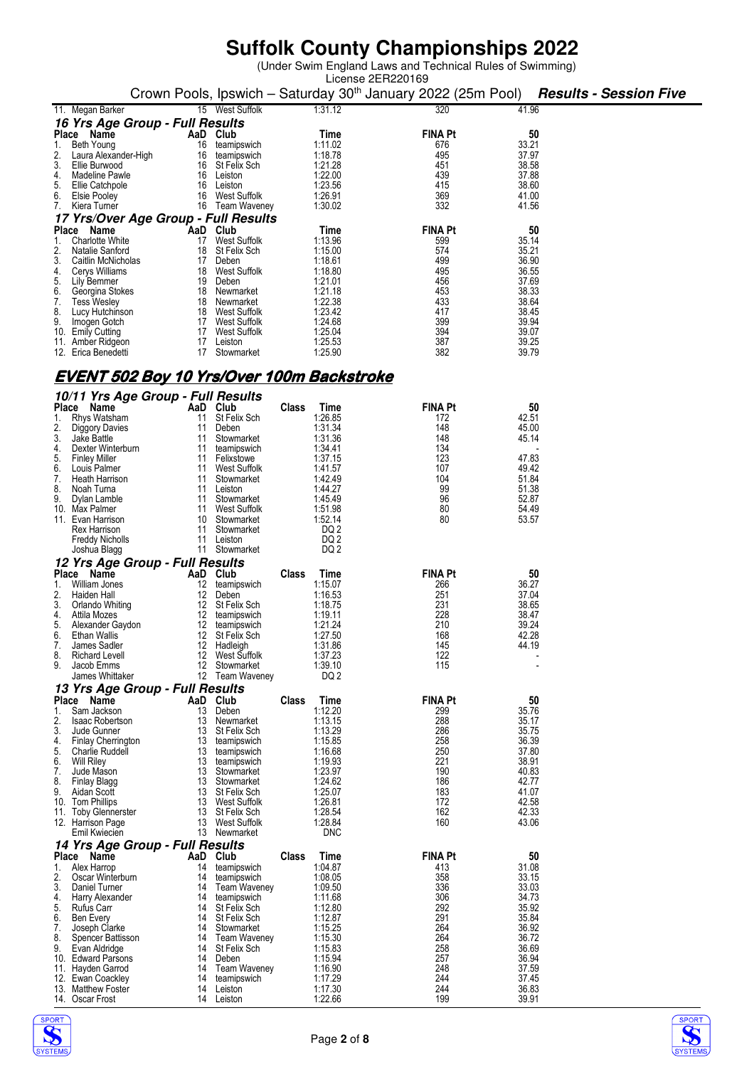(Under Swim England Laws and Technical Rules of Swimming)

|                                                         |                                    |                                    |              |                    | License 2ER220169                                                        |                |                               |
|---------------------------------------------------------|------------------------------------|------------------------------------|--------------|--------------------|--------------------------------------------------------------------------|----------------|-------------------------------|
|                                                         |                                    |                                    |              |                    | Crown Pools, Ipswich - Saturday 30 <sup>th</sup> January 2022 (25m Pool) |                | <b>Results - Session Five</b> |
| 11. Megan Barker                                        |                                    | 15 West Suffolk                    |              | 1:31.12            | 320                                                                      | 41.96          |                               |
| 16 Yrs Age Group - Full Results                         |                                    |                                    |              |                    |                                                                          |                |                               |
| Place Name                                              | AaD Club                           |                                    |              | Time               | <b>FINA Pt</b>                                                           | 50             |                               |
| Beth Young<br>1.                                        | 16                                 | teamipswich                        |              | 1:11.02<br>1:18.78 | 676<br>495                                                               | 33.21<br>37.97 |                               |
| 2.<br>Laura Alexander-High<br>3.<br>Ellie Burwood       |                                    | 16 teamipswich<br>16 St Felix Sch  |              | 1:21.28            | 451                                                                      | 38.58          |                               |
| 4.<br>Madeline Pawle                                    |                                    | 16 Leiston                         |              | 1:22.00            | 439                                                                      | 37.88          |                               |
| 5.<br>Ellie Catchpole                                   |                                    | 16 Leiston                         |              | 1:23.56            | 415                                                                      | 38.60          |                               |
| 6.<br>Elsie Pooley<br>7.                                |                                    | 16 West Suffolk                    |              | 1:26.91<br>1:30.02 | 369<br>332                                                               | 41.00<br>41.56 |                               |
| Kiera Turner                                            |                                    | 16 Team Waveney                    |              |                    |                                                                          |                |                               |
| 17 Yrs/Over Age Group - Full Results<br>Place Name      | AaD Club                           |                                    |              | Time               | <b>FINA Pt</b>                                                           | 50             |                               |
| 1.<br><b>Charlotte White</b>                            |                                    | 17 West Suffolk                    |              | 1:13.96            | 599                                                                      | 35.14          |                               |
| 2.<br>Natalie Sanford                                   |                                    | 18 St Felix Sch                    |              | 1:15.00            | 574                                                                      | 35.21          |                               |
| 3.<br>Caitlin McNicholas                                |                                    | 17 Deben                           |              | 1:18.61            | 499                                                                      | 36.90          |                               |
| 4.<br>Cerys Williams<br>5.<br>Lily Bemmer               |                                    | 18 West Suffolk<br>19 Deben        |              | 1:18.80<br>1:21.01 | 495<br>456                                                               | 36.55<br>37.69 |                               |
| 6.<br>Georgina Stokes                                   |                                    | 18 Newmarket                       |              | 1:21.18            | 453                                                                      | 38.33          |                               |
| 7.<br><b>Tess Wesley</b>                                |                                    | 18 Newmarket                       |              | 1:22.38            | 433                                                                      | 38.64          |                               |
| 8.<br>Lucy Hutchinson<br>9.                             |                                    | 18 West Suffolk<br>17 West Suffolk |              | 1:23.42<br>1:24.68 | 417<br>399                                                               | 38.45<br>39.94 |                               |
| Imogen Gotch<br>10. Emily Cutting                       |                                    | 17 West Suffolk                    |              | 1:25.04            | 394                                                                      | 39.07          |                               |
| 11. Amber Ridgeon                                       |                                    | 17 Leiston                         |              | 1:25.53            | 387                                                                      | 39.25          |                               |
| 12. Erica Benedetti                                     |                                    | 17 Stowmarket                      |              | 1:25.90            | 382                                                                      | 39.79          |                               |
|                                                         |                                    |                                    |              |                    |                                                                          |                |                               |
| <u>EVENT 502 Boy 10 Yrs/Over 100m Backstroke</u>        |                                    |                                    |              |                    |                                                                          |                |                               |
| 10/11 Yrs Age Group - Full Results                      |                                    |                                    |              |                    |                                                                          |                |                               |
| Place Name                                              | AaD Club                           |                                    | <b>Class</b> | Time               | <b>FINA Pt</b>                                                           | 50             |                               |
| Rhys Watsham<br>1.                                      | 11                                 | St Felix Sch                       |              | 1:26.85            | 172                                                                      | 42.51          |                               |
| 2.<br>Diggory Davies                                    | 11                                 | Deben                              |              | 1:31.34            | 148                                                                      | 45.00          |                               |
| 3.<br>Jake Battle<br>4.<br>Dexter Winterburn            | 11                                 | 11 Stowmarket<br>teamipswich       |              | 1:31.36<br>1:34.41 | 148<br>134                                                               | 45.14          |                               |
| 5.<br><b>Finley Miller</b>                              |                                    | 11 Felixstowe                      |              | 1:37.15            | 123                                                                      | 47.83          |                               |
| 6.<br>Louis Palmer                                      |                                    | 11 West Suffolk                    |              | 1:41.57            | 107                                                                      | 49.42          |                               |
| 7.<br>Heath Harrison<br>8.<br>Noah Turna                | 11                                 | Stowmarket<br>11 Leiston           |              | 1:42.49<br>1:44.27 | 104<br>99                                                                | 51.84<br>51.38 |                               |
| 9.<br>Dylan Lamble                                      |                                    | 11 Stowmarket                      |              | 1:45.49            | 96                                                                       | 52.87          |                               |
| 10. Max Palmer                                          | 11                                 | West Suffolk                       |              | 1:51.98            | 80                                                                       | 54.49          |                               |
| 11. Evan Harrison                                       |                                    | 10 Stowmarket                      |              | 1:52.14            | 80                                                                       | 53.57          |                               |
| Rex Harrison<br><b>Freddy Nicholls</b>                  | 11                                 | 11 Stowmarket<br>Leiston           |              | DQ 2<br>DQ 2       |                                                                          |                |                               |
| Joshua Blagg                                            |                                    | 11 Stowmarket                      |              | DQ 2               |                                                                          |                |                               |
| 12 Yrs Age Group - Full Results                         |                                    |                                    |              |                    |                                                                          |                |                               |
| Place Name                                              | AaD Club                           |                                    | Class        | Time               | <b>FINA Pt</b>                                                           | 50             |                               |
| 1.<br>William Jones                                     |                                    | 12 teamipswich                     |              | 1:15.07            | 266                                                                      | 36.27          |                               |
| 2.<br>Haiden Hall<br>3.<br>Orlando Whiting              | 12 <sup>2</sup><br>12 <sup>2</sup> | Deben<br>St Felix Sch              |              | 1:16.53<br>1:18.75 | 251<br>231                                                               | 37.04<br>38.65 |                               |
| 4.<br>Attila Mozes                                      | 12                                 | teamipswich                        |              | 1:19.11            | 228                                                                      | 38.47          |                               |
| 5.<br>Alexander Gaydon                                  | 12                                 | teamipswich                        |              | 1.21.24            | 210                                                                      | 39.24          |                               |
| 6.<br>Ethan Wallis                                      | 12                                 | St Felix Sch                       |              | 1:27.50            | 168                                                                      | 42.28          |                               |
| 7.<br>James Sadler<br>8.<br>Richard Levell              |                                    | 12 Hadleigh<br>12 West Suffolk     |              | 1:31.86<br>1:37.23 | 145<br>122                                                               | 44.19          |                               |
| 9.<br>Jacob Emms                                        |                                    | 12 Stowmarket                      |              | 1:39.10            | 115                                                                      |                |                               |
| James Whittaker                                         |                                    | 12 Team Waveney                    |              | DQ 2               |                                                                          |                |                               |
| 13 Yrs Age Group - Full Results                         |                                    |                                    |              |                    |                                                                          |                |                               |
| Place Name                                              | AaD Club                           |                                    | <b>Class</b> | Time               | <b>FINA Pt</b>                                                           | 50             |                               |
| Sam Jackson<br>1.<br>2.<br><b>Isaac Robertson</b>       |                                    | 13 Deben<br>13 Newmarket           |              | 1:12.20<br>1:13.15 | 299<br>288                                                               | 35.76<br>35.17 |                               |
| 3.<br>Jude Gunner                                       |                                    | 13 St Felix Sch                    |              | 1:13.29            | 286                                                                      | 35.75          |                               |
| 4.<br>Finlay Cherrington                                |                                    | 13 teamipswich                     |              | 1:15.85            | 258                                                                      | 36.39          |                               |
| 5.<br><b>Charlie Ruddell</b><br>6.<br><b>Will Riley</b> |                                    | 13 teamipswich<br>13 teamipswich   |              | 1:16.68<br>1:19.93 | 250<br>221                                                               | 37.80<br>38.91 |                               |
| 7.<br>Jude Mason                                        |                                    | 13 Stowmarket                      |              | 1:23.97            | 190                                                                      | 40.83          |                               |
| 8.<br>Finlay Blagg                                      |                                    | 13 Stowmarket                      |              | 1:24.62            | 186                                                                      | 42.77          |                               |
| 9.<br>Aidan Scott                                       |                                    | 13 St Felix Sch                    |              | 1:25.07            | 183                                                                      | 41.07          |                               |
| 10. Tom Phillips<br>11. Toby Glennerster                |                                    | 13 West Suffolk<br>13 St Felix Sch |              | 1:26.81<br>1:28.54 | 172<br>162                                                               | 42.58<br>42.33 |                               |
| 12. Harrison Page                                       |                                    | 13 West Suffolk                    |              | 1:28.84            | 160                                                                      | 43.06          |                               |
| Emil Kwiecien                                           |                                    | 13 Newmarket                       |              | <b>DNC</b>         |                                                                          |                |                               |
| 14 Yrs Age Group - Full Results                         |                                    |                                    |              |                    |                                                                          |                |                               |
| Place Name                                              | AaD Club                           |                                    | Class        | Time               | <b>FINA Pt</b>                                                           | 50             |                               |
| Alex Harrop<br>1.<br>2.<br>Oscar Winterburn             | 14<br>14                           | teamipswich<br>teamipswich         |              | 1:04.87<br>1:08.05 | 413<br>358                                                               | 31.08<br>33.15 |                               |
| 3.<br>Daniel Turner                                     | 14                                 | Team Waveney                       |              | 1:09.50            | 336                                                                      | 33.03          |                               |
| 4.<br>Harry Alexander                                   | 14                                 | teamipswich                        |              | 1:11.68            | 306                                                                      | 34.73          |                               |
| 5.<br>Rufus Carr                                        |                                    | 14 St Felix Sch                    |              | 1:12.80            | 292                                                                      | 35.92          |                               |
| 6.<br><b>Ben Every</b><br>7.<br>Joseph Clarke           | 14                                 | 14 St Felix Sch<br>Stowmarket      |              | 1:12.87<br>1:15.25 | 291<br>264                                                               | 35.84<br>36.92 |                               |
| 8.<br>Spencer Battisson                                 |                                    | 14 Team Waveney                    |              | 1:15.30            | 264                                                                      | 36.72          |                               |
| 9.<br>Evan Aldridge                                     |                                    | 14 St Felix Sch                    |              | 1:15.83            | 258                                                                      | 36.69          |                               |
| 10. Edward Parsons<br>11. Hayden Garrod                 | 14<br>14                           | Deben<br><b>Team Waveney</b>       |              | 1:15.94<br>1:16.90 | 257<br>248                                                               | 36.94<br>37.59 |                               |
| 12. Ewan Coackley                                       |                                    | 14 teamipswich                     |              | 1:17.29            | 244                                                                      | 37.45          |                               |
| 13. Matthew Foster                                      |                                    | 14 Leiston                         |              | 1:17.30            | 244                                                                      | 36.83          |                               |



14. Oscar Frost 14 Leiston 1:22.66 199 39.91

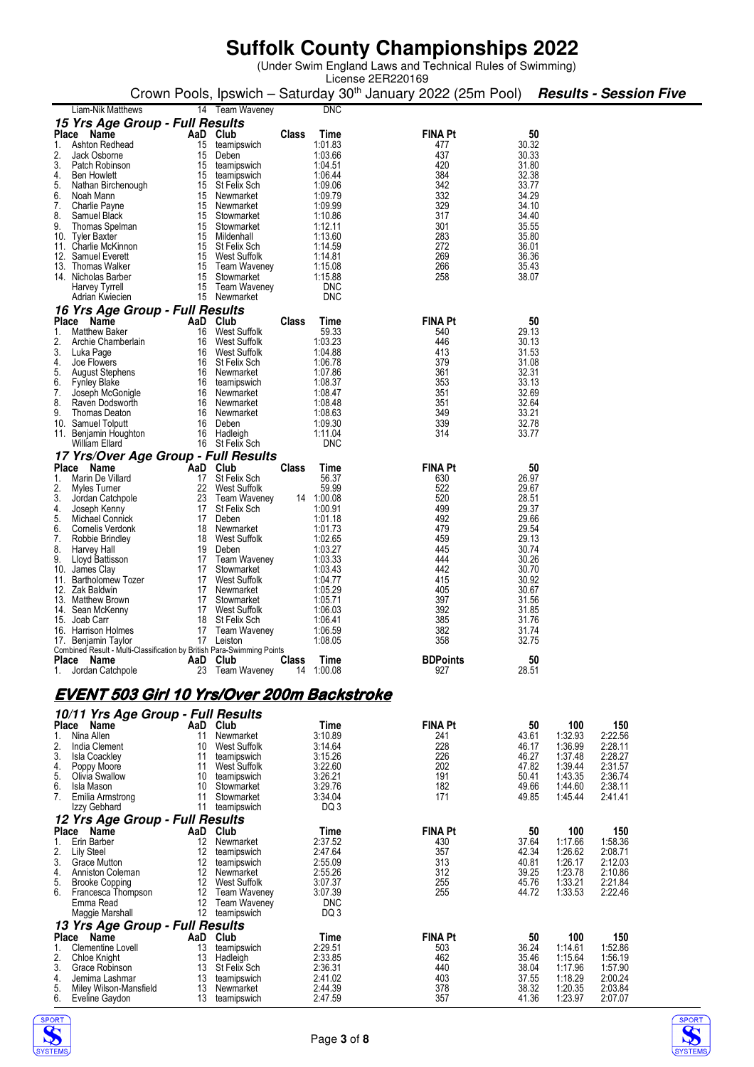|                                                                                               |                |                                    |              |                       | License 2ER220169                                                        |                |                      |                               |
|-----------------------------------------------------------------------------------------------|----------------|------------------------------------|--------------|-----------------------|--------------------------------------------------------------------------|----------------|----------------------|-------------------------------|
|                                                                                               |                |                                    |              |                       | Crown Pools, Ipswich – Saturday 30 <sup>th</sup> January 2022 (25m Pool) |                |                      | <b>Results - Session Five</b> |
| Liam-Nik Matthews<br>15 Yrs Age Group - Full Results                                          |                | 14 Team Waveney                    |              | <b>DNC</b>            |                                                                          |                |                      |                               |
| Place Name                                                                                    | AaD Club       |                                    | Class        | Time                  | <b>FINA Pt</b>                                                           |                | 50                   |                               |
| Ashton Redhead                                                                                | 15             | teamipswich                        |              | 1:01.83               | 477                                                                      | 30.32          |                      |                               |
| 2.<br>Jack Osborne<br>3.<br>Patch Robinson                                                    | 15             | Deben                              |              | 1:03.66<br>1:04.51    | 437<br>420                                                               | 30.33<br>31.80 |                      |                               |
| 4.<br><b>Ben Howlett</b>                                                                      | 15<br>15       | teamipswich<br>teamipswich         |              | 1:06.44               | 384                                                                      | 32.38          |                      |                               |
| 5.<br>Nathan Birchenough                                                                      |                | 15 St Felix Sch                    |              | 1:09.06               | 342                                                                      | 33.77          |                      |                               |
| 6.<br>Noah Mann<br>7.<br>Charlie Payne                                                        |                | 15 Newmarket<br>15 Newmarket       |              | 1:09.79<br>1:09.99    | 332<br>329                                                               | 34.29<br>34.10 |                      |                               |
| 8.<br>Samuel Black                                                                            |                | 15 Stowmarket                      |              | 1:10.86               | 317                                                                      | 34.40          |                      |                               |
| 9.<br>Thomas Spelman                                                                          |                | 15 Stowmarket                      |              | 1:12.11               | 301                                                                      | 35.55          |                      |                               |
| 10. Tyler Baxter<br>11. Charlie McKinnon                                                      |                | 15 Mildenhall<br>15 St Felix Sch   |              | 1:13.60<br>1:14.59    | 283<br>272                                                               | 35.80<br>36.01 |                      |                               |
| 12. Samuel Everett                                                                            |                | 15 West Suffolk                    |              | 1:14.81               | 269                                                                      | 36.36          |                      |                               |
| 13. Thomas Walker                                                                             |                | 15 Team Waveney                    |              | 1:15.08               | 266                                                                      | 35.43          |                      |                               |
| 14. Nicholas Barber<br>Harvey Tyrrell                                                         |                | 15 Stowmarket<br>15 Team Waveney   |              | 1:15.88<br><b>DNC</b> | 258                                                                      | 38.07          |                      |                               |
| Adrian Kwiecien                                                                               |                | 15 Newmarket                       |              | <b>DNC</b>            |                                                                          |                |                      |                               |
| 16 Yrs Age Group - Full Results                                                               |                |                                    |              |                       |                                                                          |                |                      |                               |
| Place Name                                                                                    | AaD Club       |                                    | Class        | Time                  | <b>FINA Pt</b>                                                           |                | 50                   |                               |
| 1.<br><b>Matthew Baker</b><br>2.<br>Archie Chamberlain                                        | 16<br>16       | West Suffolk<br>West Suffolk       |              | 59.33<br>1:03.23      | 540<br>446                                                               | 29.13<br>30.13 |                      |                               |
| 3.<br>Luka Page                                                                               | 16             | West Suffolk                       |              | 1:04.88               | 413                                                                      | 31.53          |                      |                               |
| 4.<br>Joe Flowers                                                                             |                | 16 St Felix Sch                    |              | 1:06.78               | 379                                                                      | 31.08          |                      |                               |
| 5.<br><b>August Stephens</b><br>6.<br><b>Fynley Blake</b>                                     | 16             | Newmarket<br>16 teamipswich        |              | 1:07.86<br>1:08.37    | 361<br>353                                                               | 32.31<br>33.13 |                      |                               |
| 7.<br>Joseph McGonigle                                                                        |                | 16 Newmarket                       |              | 1:08.47               | 351                                                                      | 32.69          |                      |                               |
| 8.<br>Raven Dodsworth                                                                         |                | 16 Newmarket                       |              | 1:08.48               | 351                                                                      | 32.64          |                      |                               |
| 9.<br>Thomas Deaton<br>10. Samuel Tolputt                                                     |                | 16 Newmarket<br>16 Deben           |              | 1:08.63<br>1:09.30    | 349<br>339                                                               | 33.21<br>32.78 |                      |                               |
| 11. Benjamin Houghton                                                                         |                | 16 Hadleigh                        |              | 1:11.04               | 314                                                                      | 33.77          |                      |                               |
| William Ellard                                                                                |                | 16 St Felix Sch                    |              | <b>DNC</b>            |                                                                          |                |                      |                               |
| 17 Yrs/Over Age Group - Full Results                                                          |                |                                    |              |                       |                                                                          |                |                      |                               |
| Place Name<br>Marin De Villard<br>1.                                                          | AaD Club<br>17 | St Felix Sch                       | <b>Class</b> | Time<br>56.37         | <b>FINA Pt</b><br>630                                                    | 26.97          | 50                   |                               |
| 2.<br>Myles Turner                                                                            | 22             | West Suffolk                       |              | 59.99                 | 522                                                                      | 29.67          |                      |                               |
| 3.<br>Jordan Catchpole                                                                        | 23             | Team Waveney                       |              | 14 1:00.08            | 520                                                                      | 28.51          |                      |                               |
| 4.<br>Joseph Kenny<br>5.<br>Michael Connick                                                   | 17             | St Felix Sch<br>17 Deben           |              | 1:00.91<br>1:01.18    | 499<br>492                                                               | 29.37<br>29.66 |                      |                               |
| 6.<br>Cornelis Verdonk                                                                        |                | 18 Newmarket                       |              | 1:01.73               | 479                                                                      | 29.54          |                      |                               |
| 7.<br>Robbie Brindley                                                                         | 18             | West Suffolk                       |              | 1:02.65               | 459                                                                      | 29.13          |                      |                               |
| 8.<br>Harvey Hall<br>9.<br>Lloyd Battisson                                                    |                | 19 Deben<br>17 Team Waveney        |              | 1:03.27<br>1:03.33    | 445<br>444                                                               | 30.74<br>30.26 |                      |                               |
| 10. James Clay                                                                                | 17             | Stowmarket                         |              | 1:03.43               | 442                                                                      | 30.70          |                      |                               |
| 11. Bartholomew Tozer                                                                         |                | 17 West Suffolk                    |              | 1:04.77               | 415                                                                      | 30.92          |                      |                               |
| 12. Zak Baldwin                                                                               | 17             | 17 Newmarket                       |              | 1:05.29<br>1:05.71    | 405<br>397                                                               | 30.67<br>31.56 |                      |                               |
| 13. Matthew Brown<br>14. Sean McKenny                                                         |                | Stowmarket<br>17 West Suffolk      |              | 1:06.03               | 392                                                                      | 31.85          |                      |                               |
| 15. Joab Carr                                                                                 |                | 18 St Felix Sch                    |              | 1:06.41               | 385                                                                      | 31.76          |                      |                               |
| 16. Harrison Holmes                                                                           | 17             | Team Waveney                       |              | 1:06.59<br>1:08.05    | 382<br>358                                                               | 31.74<br>32.75 |                      |                               |
| 17. Benjamin Taylor<br>Combined Result - Multi-Classification by British Para-Swimming Points |                | 17 Leiston                         |              |                       |                                                                          |                |                      |                               |
| Place Name                                                                                    | AaD Club       |                                    | Class        | Time                  | <b>BDPoints</b>                                                          |                | 50                   |                               |
| 1. Jordan Catchpole                                                                           |                | 23 Team Waveney                    |              | 14 1:00.08            | 927                                                                      | 28.51          |                      |                               |
| <u>EVENT 503 Girl 10 Yrs/Over 200m Backstroke</u>                                             |                |                                    |              |                       |                                                                          |                |                      |                               |
|                                                                                               |                |                                    |              |                       |                                                                          |                |                      |                               |
| 10/11 Yrs Age Group - Full Results<br>Place Name                                              | AaD Club       |                                    |              | Time                  | <b>FINA Pt</b>                                                           |                | 50<br>100            | 150                           |
| 1.<br>Nina Allen                                                                              | 11             | Newmarket                          |              | 3:10.89               | 241                                                                      | 43.61          | 1:32.93              | 2:22.56                       |
| 2.<br>India Clement                                                                           | 10             | West Suffolk                       |              | 3:14.64               | 228                                                                      | 46.17          | 1:36.99              | 2:28.11                       |
| 3.<br>Isla Coackley<br>4.<br>Poppy Moore                                                      | 11<br>11       | teamipswich<br>West Suffolk        |              | 3:15.26<br>3:22.60    | 226<br>202                                                               | 46.27<br>47.82 | 1:37.48<br>1:39.44   | 2:28.27<br>2:31.57            |
| 5.<br>Olivia Swallow                                                                          |                | 10 teamipswich                     |              | 3:26.21               | 191                                                                      | 50.41          | 1:43.35              | 2:36.74                       |
| 6.<br>Isla Mason                                                                              |                | 10 Stowmarket                      |              | 3:29.76               | 182                                                                      | 49.66          | 1:44.60              | 2:38.11                       |
| 7.<br>Emilia Armstrong<br>Izzy Gebhard                                                        | 11             | Stowmarket<br>11 teamipswich       |              | 3:34.04<br>DQ 3       | 171                                                                      | 49.85          | 1:45.44              | 2:41.41                       |
| 12 Yrs Age Group - Full Results                                                               |                |                                    |              |                       |                                                                          |                |                      |                               |
| Place Name                                                                                    | AaD Club       |                                    |              | Time                  | <b>FINA Pt</b>                                                           |                | 50<br>100            | 150                           |
| 1.<br>Erin Barber                                                                             | 12             | Newmarket                          |              | 2:37.52               | 430                                                                      | 37.64          | 1:17.66              | 1:58.36                       |
| 2.<br>Lily Steel<br>3.<br>Grace Mutton                                                        | 12<br>12       | teamipswich<br>teamipswich         |              | 2:47.64<br>2:55.09    | 357<br>313                                                               | 42.34<br>40.81 | 1:26.62<br>1:26.17   | 2:08.71<br>2:12.03            |
| 4.<br>Anniston Coleman                                                                        |                | 12 Newmarket                       |              | 2:55.26               | 312                                                                      | 39.25          | 1:23.78              | 2:10.86                       |
| 5.<br><b>Brooke Copping</b>                                                                   |                | 12 West Suffolk                    |              | 3:07.37               | 255                                                                      | 45.76          | 1:33.21              | 2:21.84                       |
| 6.<br>Francesca Thompson<br>Emma Read                                                         |                | 12 Team Waveney<br>12 Team Waveney |              | 3:07.39<br><b>DNC</b> | 255                                                                      | 44.72          | 1:33.53              | 2:22.46                       |
| Maggie Marshall                                                                               |                | 12 teamipswich                     |              | DQ 3                  |                                                                          |                |                      |                               |
| 13 Yrs Age Group - Full Results                                                               |                |                                    |              |                       |                                                                          |                |                      |                               |
| Place Name<br>1.<br>Clementine Lovell                                                         | AaD Club<br>13 |                                    |              | Time<br>2:29.51       | <b>FINA Pt</b>                                                           | 36.24          | 100<br>50<br>1:14.61 | 150<br>1:52.86                |
| 2.<br>Chloe Knight                                                                            | 13             | teamipswich<br>Hadleigh            |              | 2:33.85               | 503<br>462                                                               | 35.46          | 1:15.64              | 1:56.19                       |
| 3.<br>Grace Robinson                                                                          |                | 13 St Felix Sch                    |              | 2:36.31               | 440                                                                      | 38.04          | 1:17.96              | 1:57.90                       |
| 4.<br>Jemima Lashmar<br>5.                                                                    | 13             | teamipswich                        |              | 2:41.02<br>2:44.39    | 403<br>378                                                               | 37.55<br>38.32 | 1:18.29<br>1:20.35   | 2:00.24<br>2:03.84            |
| Miley Wilson-Mansfield<br>6.<br>Eveline Gaydon                                                | 13             | Newmarket<br>13 teamipswich        |              | 2:47.59               | 357                                                                      | 41.36          | 1:23.97              | 2:07.07                       |



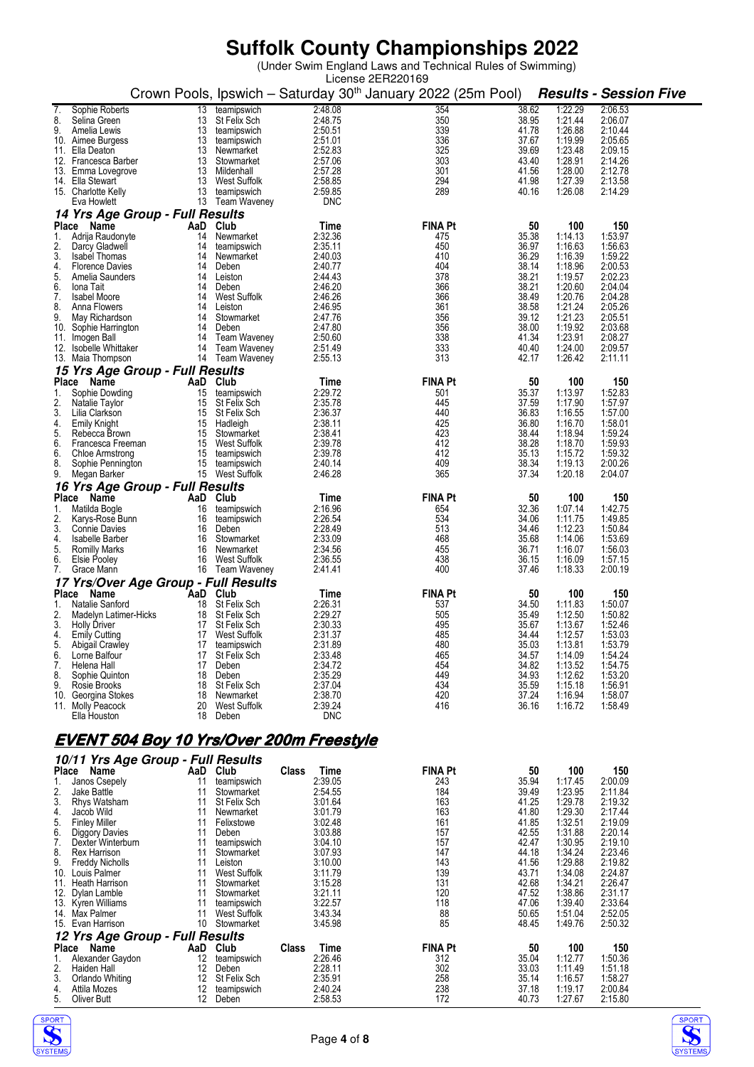|                                                                 |                               |                                 | License 2ER220169<br>Crown Pools, Ipswich - Saturday 30 <sup>th</sup> January 2022 (25m Pool) |                |                    | <b>Results - Session Five</b> |
|-----------------------------------------------------------------|-------------------------------|---------------------------------|-----------------------------------------------------------------------------------------------|----------------|--------------------|-------------------------------|
| Sophie Roberts<br>13<br>7.                                      | teamipswich                   | 2:48.08                         | 354                                                                                           | 38.62          | 1:22.29            | 2:06.53                       |
| 8.<br>Selina Green<br>13                                        | St Felix Sch                  | 2:48.75                         | 350                                                                                           | 38.95          | 1:21.44            | 2:06.07                       |
| 9.<br>Amelia Lewis<br>13                                        | teamipswich                   | 2:50.51                         | 339                                                                                           | 41.78          | 1:26.88            | 2:10.44                       |
| 13<br>10. Aimee Burgess<br>13<br>11.<br>Ella Deaton             | teamipswich<br>Newmarket      | 2:51.01<br>2:52.83              | 336<br>325                                                                                    | 37.67<br>39.69 | 1:19.99<br>1:23.48 | 2:05.65<br>2:09.15            |
| 13<br>12. Francesca Barber                                      | Stowmarket                    | 2:57.06                         | 303                                                                                           | 43.40          | 1:28.91            | 2:14.26                       |
| 13. Emma Lovegrove                                              | 13 Mildenhall                 | 2:57.28                         | 301                                                                                           | 41.56          | 1:28.00            | 2:12.78                       |
| 13<br>14. Ella Stewart<br>15. Charlotte Kelly<br>13             | West Suffolk<br>teamipswich   | 2:58.85<br>2:59.85              | 294<br>289                                                                                    | 41.98<br>40.16 | 1:27.39<br>1:26.08 | 2:13.58<br>2:14.29            |
| Eva Howlett                                                     | 13 Team Waveney               | <b>DNC</b>                      |                                                                                               |                |                    |                               |
| 14 Yrs Age Group - Full Results                                 |                               |                                 |                                                                                               |                |                    |                               |
| Place<br>Name<br>AaD                                            | Club                          | Time                            | <b>FINA Pt</b>                                                                                | 50             | 100                | 150                           |
| Adrija Raudonyte<br>14<br>1.                                    | Newmarket                     | 2:32.36                         | 475                                                                                           | 35.38          | 1:14.13            | 1:53.97                       |
| 2.<br>Darcy Gladwell<br>14<br>3.<br><b>Isabel Thomas</b><br>14  | teamipswich<br>Newmarket      | 2:35.11<br>2:40.03              | 450<br>410                                                                                    | 36.97<br>36.29 | 1:16.63<br>1:16.39 | 1.56.63<br>1:59.22            |
| 4.<br><b>Florence Davies</b><br>14                              | Deben                         | 2:40.77                         | 404                                                                                           | 38.14          | 1:18.96            | 2:00.53                       |
| 5.<br>Amelia Saunders<br>14                                     | Leiston                       | 2:44.43                         | 378                                                                                           | 38.21          | 1:19.57            | 2:02.23                       |
| 6.<br>Iona Tait<br>14<br>7.<br><b>Isabel Moore</b><br>14        | Deben<br>West Suffolk         | 2:46.20<br>2:46.26              | 366<br>366                                                                                    | 38.21<br>38.49 | 1:20.60<br>1:20.76 | 2:04.04<br>2:04.28            |
| 8.<br>Anna Flowers<br>14                                        | Leiston                       | 2:46.95                         | 361                                                                                           | 38.58          | 1:21.24            | 2:05.26                       |
| 9.<br>May Richardson<br>14                                      | Stowmarket                    | 2:47.76                         | 356                                                                                           | 39.12          | 1:21.23            | 2:05.51                       |
| 10.<br>Sophie Harrington<br>14<br>11. Imogen Ball               | Deben<br>14 Team Waveney      | 2:47.80<br>2:50.60              | 356<br>338                                                                                    | 38.00<br>41.34 | 1:19.92<br>1:23.91 | 2:03.68<br>2:08.27            |
| 12.<br>Isobelle Whittaker<br>14                                 | Team Waveney                  | 2:51.49                         | 333                                                                                           | 40.40          | 1:24.00            | 2:09.57                       |
| 13. Maia Thompson                                               | 14 Team Waveney               | 2:55.13                         | 313                                                                                           | 42.17          | 1:26.42            | 2:11.11                       |
| 15 Yrs Age Group - Full Results                                 |                               |                                 |                                                                                               |                |                    |                               |
| Place Name<br>AaD                                               | Club                          | Time                            | <b>FINA Pt</b>                                                                                | 50             | 100                | 150                           |
| 15<br>1.<br>Sophie Dowding<br>2.<br>Natalie Taylor<br>15        | teamipswich<br>St Felix Sch   | 2:29.72<br>2:35.78              | 501<br>445                                                                                    | 35.37<br>37.59 | 1:13.97<br>1:17.90 | 1:52.83<br>1.57.97            |
| 3.<br>Lilia Clarkson<br>15                                      | St Felix Sch                  | 2:36.37                         | 440                                                                                           | 36.83          | 1:16.55            | 1:57.00                       |
| 15<br>4.<br>Emily Knight                                        | Hadleigh                      | 2:38.11                         | 425                                                                                           | 36.80          | 1:16.70            | 1:58.01                       |
| 5.<br>15<br>Rebecca Brown<br>6.<br>Francesca Freeman            | Stowmarket<br>15 West Suffolk | 2:38.41<br>2:39.78              | 423<br>412                                                                                    | 38.44<br>38.28 | 1:18.94<br>1:18.70 | 1.59.24<br>1.59.93            |
| 6.<br>15<br>Chloe Armstrong                                     | teamipswich                   | 2:39.78                         | 412                                                                                           | 35.13          | 1:15.72            | 1:59.32                       |
| 8.<br>Sophie Pennington                                         | 15 teamipswich                | 2:40.14                         | 409                                                                                           | 38.34          | 1:19.13            | 2:00.26                       |
| 9.<br>Megan Barker                                              | 15 West Suffolk               | 2:46.28                         | 365                                                                                           | 37.34          | 1:20.18            | 2:04.07                       |
| 16 Yrs Age Group - Full Results                                 |                               |                                 |                                                                                               |                |                    |                               |
| Place Name<br>AaD<br>Matilda Bogle<br>16<br>1.                  | Club<br>teamipswich           | Time<br>2:16.96                 | <b>FINA Pt</b><br>654                                                                         | 50<br>32.36    | 100<br>1:07.14     | 150<br>1:42.75                |
| 2.<br>Karys-Rose Bunn<br>16                                     | teamipswich                   | 2:26.54                         | 534                                                                                           | 34.06          | 1:11.75            | 1:49.85                       |
| 3.<br><b>Connie Davies</b><br>16                                | Deben                         | 2:28.49                         | 513                                                                                           | 34.46          | 1:12.23            | 1:50.84                       |
| 4.<br>16<br>Isabelle Barber<br>5.<br>16<br><b>Romilly Marks</b> | Stowmarket<br>Newmarket       | 2:33.09<br>2:34.56              | 468<br>455                                                                                    | 35.68<br>36.71 | 1:14.06<br>1:16.07 | 1.53.69<br>1:56.03            |
| 6.<br>Elsie Pooley<br>16                                        | West Suffolk                  | 2:36.55                         | 438                                                                                           | 36.15          | 1:16.09            | 1:57.15                       |
| 7.<br>Grace Mann                                                | 16 Team Waveney               | 2:41.41                         | 400                                                                                           | 37.46          | 1:18.33            | 2:00.19                       |
| 17 Yrs/Over Age Group - Full Results                            |                               |                                 |                                                                                               |                |                    |                               |
| Place Name<br>Natalie Sanford<br>18<br>1.                       | AaD Club<br>St Felix Sch      | Time<br>2:26.31                 | <b>FINA Pt</b><br>537                                                                         | 50<br>34.50    | 100<br>1:11.83     | 150<br>1:50.07                |
| 2.<br>Madelyn Latimer-Hicks<br>18                               | St Felix Sch                  | 2:29.27                         | 505                                                                                           | 35.49          | 1:12.50            | 1:50.82                       |
| 3.<br><b>Holly Driver</b><br>17                                 | St Felix Sch                  | 2:30.33                         | 495                                                                                           | 35.67          | 1:13.67            | 1:52.46                       |
| 4.<br><b>Emily Cutting</b><br>17<br>17                          | West Suffolk                  | 2:31.37                         | 485<br>480                                                                                    | 34.44          | 1:12.57            | 1:53.03                       |
| 5.<br><b>Abigail Crawley</b><br>6.<br>Lorne Balfour<br>17       | teamipswich<br>St Felix Sch   | 2:31.89<br>2:33.48              | 465                                                                                           | 35.03<br>34.57 | 1:13.81<br>1:14.09 | 1:53.79<br>1:54.24            |
| 7.<br>Helena Hall<br>17                                         | Deben                         | 2:34.72                         | 454                                                                                           | 34.82          | 1:13.52            | 1:54.75                       |
| 8.<br>Sophie Quinton<br>18                                      | Deben                         | 2:35.29                         | 449                                                                                           | 34.93          | 1:12.62            | 1:53.20                       |
| 9.<br>Rosie Brooks<br>18<br>10.<br>Georgina Stokes<br>18        | St Felix Sch<br>Newmarket     | 2:37.04<br>2:38.70              | 434<br>420                                                                                    | 35.59<br>37.24 | 1:15.18<br>1:16.94 | 1:56.91<br>1:58.07            |
| 11. Molly Peacock<br>20                                         | West Suffolk                  | 2:39.24                         | 416                                                                                           | 36.16          | 1:16.72            | 1:58.49                       |
| Ella Houston<br>18                                              | Deben                         | DNC                             |                                                                                               |                |                    |                               |
| <u>EVENT 504 Boy 10 Yrs/Over 200m Freestyle</u>                 |                               |                                 |                                                                                               |                |                    |                               |
|                                                                 |                               |                                 |                                                                                               |                |                    |                               |
| 10/11 Yrs Age Group - Full Results                              |                               |                                 |                                                                                               |                |                    |                               |
| Place Name<br>Janos Csepely<br>11<br>1.                         | AaD Club<br>teamipswich       | <b>Class</b><br>Time<br>2:39.05 | <b>FINA Pt</b><br>243                                                                         | 50<br>35.94    | 100<br>1:17.45     | 150<br>2:00.09                |
| 2.<br>Jake Battle<br>11                                         | Stowmarket                    | 2:54.55                         | 184                                                                                           | 39.49          | 1:23.95            | 2:11.84                       |
| 3.<br>11<br>Rhys Watsham                                        | St Felix Sch                  | 3:01.64                         | 163                                                                                           | 41.25          | 1:29.78            | 2:19.32                       |
| 4.<br>11<br>Jacob Wild<br>5.<br><b>Finley Miller</b><br>11      | Newmarket<br>Felixstowe       | 3:01.79<br>3:02.48              | 163<br>161                                                                                    | 41.80<br>41.85 | 1:29.30<br>1:32.51 | 2:17.44<br>2:19.09            |
| 6.<br>11<br>Diggory Davies                                      | Deben                         | 3:03.88                         | 157                                                                                           | 42.55          | 1:31.88            | 2:20.14                       |
| 7.<br>Dexter Winterburn<br>11                                   | teamipswich                   | 3:04.10                         | 157                                                                                           | 42.47          | 1:30.95            | 2:19.10                       |
| 8.<br><b>Rex Harrison</b><br>11<br>9.<br>11                     | Stowmarket<br>Leiston         | 3:07.93<br>3:10.00              | 147<br>143                                                                                    | 44.18<br>41.56 | 1:34.24            | 2:23.46<br>2:19.82            |
| <b>Freddy Nicholls</b><br>Louis Palmer<br>11<br>10.             | West Suffolk                  | 3:11.79                         | 139                                                                                           | 43.71          | 1:29.88<br>1:34.08 | 2:24.87                       |
| 11. Heath Harrison<br>11                                        | Stowmarket                    | 3:15.28                         | 131                                                                                           | 42.68          | 1:34.21            | 2:26.47                       |
| 12. Dylan Lamble<br>11                                          | Stowmarket                    | 3:21.11                         | 120                                                                                           | 47.52          | 1:38.86            | 2:31.17                       |
| 13. Kyren Williams<br>11<br>14. Max Palmer<br>11                | teamipswich<br>West Suffolk   | 3:22.57<br>3:43.34              | 118<br>88                                                                                     | 47.06<br>50.65 | 1:39.40<br>1:51.04 | 2:33.64<br>2:52.05            |
| 10<br>15. Evan Harrison                                         | Stowmarket                    | 3:45.98                         | 85                                                                                            | 48.45          | 1:49.76            | 2:50.32                       |
| 12 Yrs Age Group - Full Results                                 |                               |                                 |                                                                                               |                |                    |                               |
| Place Name<br>AaD                                               | Club                          | Class<br>Time                   | <b>FINA Pt</b>                                                                                | 50             | 100                | 150                           |
| Alexander Gaydon<br>1.<br>12<br>2.<br>12<br>Haiden Hall         | teamipswich<br>Deben          | 2:26.46<br>2:28.11              | 312<br>302                                                                                    | 35.04<br>33.03 | 1:12.77<br>1:11.49 | 1:50.36<br>1.51.18            |
| 3.<br>Orlando Whiting<br>12                                     | <b>St Felix Sch</b>           | 2:35.91                         | 258                                                                                           | 35.14          | 1:16.57            | 1:58.27                       |
| 4.<br>Attila Mozes<br>12                                        | teamipswich                   | 2:40.24                         | 238                                                                                           | 37.18          | 1:19.17            | 2:00.84                       |
| 5.<br>Oliver Butt<br>12                                         | Deben                         | 2:58.53                         | 172                                                                                           | 40.73          | 1:27.67            | 2:15.80                       |



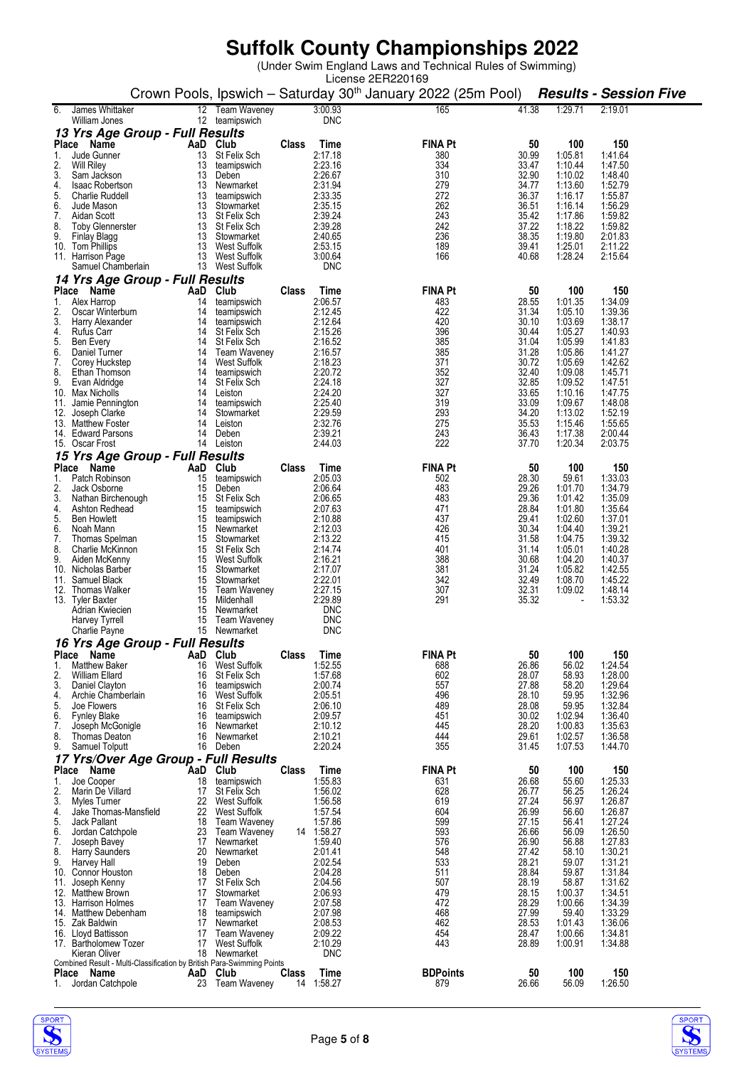|                                                                                                       |              |                       | License 2ER220169                                                        |                |                    |                               |
|-------------------------------------------------------------------------------------------------------|--------------|-----------------------|--------------------------------------------------------------------------|----------------|--------------------|-------------------------------|
|                                                                                                       |              |                       | Crown Pools, Ipswich - Saturday 30 <sup>th</sup> January 2022 (25m Pool) |                |                    | <b>Results - Session Five</b> |
| James Whittaker<br>12 Team Waveney<br>6.<br>12 teamipswich<br>William Jones                           |              | 3:00.93<br><b>DNC</b> | 165                                                                      | 41.38          | 1:29.71            | 2:19.01                       |
| 13 Yrs Age Group - Full Results                                                                       |              |                       |                                                                          |                |                    |                               |
| Place Name<br>AaD Club                                                                                | <b>Class</b> | Time                  | <b>FINA Pt</b>                                                           | 50<br>30.99    | 100                | 150                           |
| Jude Gunner<br>13<br><b>St Felix Sch</b><br>1.<br>2.<br>13<br><b>Will Riley</b><br>teamipswich        |              | 2:17.18<br>2:23.16    | 380<br>334                                                               | 33.47          | 1:05.81<br>1:10.44 | 1:41.64<br>1:47.50            |
| 3.<br>13<br>Sam Jackson<br>Deben                                                                      |              | 2:26.67               | 310                                                                      | 32.90          | 1:10.02            | 1:48.40                       |
| 4.<br>13<br><b>Isaac Robertson</b><br>Newmarket<br>5.<br>13<br>Charlie Ruddell<br>teamipswich         |              | 2:31.94<br>2:33.35    | 279<br>272                                                               | 34.77<br>36.37 | 1:13.60<br>1:16.17 | 1:52.79<br>1:55.87            |
| 6.<br>13<br>Jude Mason<br>Stowmarket                                                                  |              | 2:35.15               | 262                                                                      | 36.51          | 1:16.14            | 1:56.29                       |
| 7.<br>13<br>Aidan Scott<br>St Felix Sch<br>8.<br><b>Toby Glennerster</b><br>13<br>St Felix Sch        |              | 2:39.24<br>2:39.28    | 243<br>242                                                               | 35.42<br>37.22 | 1:17.86<br>1:18.22 | 1:59.82<br>1:59.82            |
| 9.<br>13<br>Finlay Blagg<br>Stowmarket                                                                |              | 2:40.65               | 236                                                                      | 38.35          | 1:19.80            | 2:01.83                       |
| 10. Tom Phillips<br>13<br>West Suffolk<br>11. Harrison Page<br>13<br>West Suffolk                     |              | 2:53.15<br>3:00.64    | 189<br>166                                                               | 39.41<br>40.68 | 1:25.01<br>1:28.24 | 2:11.22<br>2:15.64            |
| 13 West Suffolk<br>Samuel Chamberlain                                                                 |              | <b>DNC</b>            |                                                                          |                |                    |                               |
| 14 Yrs Age Group - Full Results                                                                       |              |                       |                                                                          |                |                    |                               |
| Club<br>Place Name<br>AaD<br>Alex Harrop<br>14<br>1.<br>teamipswich                                   | <b>Class</b> | Time<br>2:06.57       | <b>FINA Pt</b><br>483                                                    | 50<br>28.55    | 100<br>1:01.35     | 150<br>1:34.09                |
| 2.<br>Oscar Winterburn<br>14<br>teamipswich                                                           |              | 2:12.45               | 422                                                                      | 31.34          | 1:05.10            | 1:39.36                       |
| 3.<br>Harry Alexander<br>14<br>teamipswich<br>St Felix Sch<br>4.<br>Rufus Carr<br>14                  |              | 2:12.64<br>2:15.26    | 420<br>396                                                               | 30.10<br>30.44 | 1:03.69<br>1:05.27 | 1:38.17<br>1:40.93            |
| 5.<br>14<br>St Felix Sch<br>Ben Every                                                                 |              | 2:16.52               | 385                                                                      | 31.04          | 1:05.99            | 1:41.83                       |
| 6.<br>14<br>Daniel Turner<br>Team Waveney<br>7.<br>West Suffolk                                       |              | 2:16.57<br>2:18.23    | 385<br>371                                                               | 31.28<br>30.72 | 1:05.86<br>1:05.69 | 1:41.27<br>1:42.62            |
| Corey Huckstep<br>14<br>8.<br>14<br>Ethan Thomson<br>teamipswich                                      |              | 2:20.72               | 352                                                                      | 32.40          | 1:09.08            | 1:45.71                       |
| 9.<br>14<br><b>St Felix Sch</b><br>Evan Aldridge                                                      |              | 2:24.18               | 327                                                                      | 32.85          | 1:09.52            | 1:47.51                       |
| Max Nicholls<br>10.<br>14<br>Leiston<br>11.<br>Jamie Pennington<br>14<br>teamipswich                  |              | 2:24.20<br>2:25.40    | 327<br>319                                                               | 33.65<br>33.09 | 1:10.16<br>1:09.67 | 1:47.75<br>1:48.08            |
| 12. Joseph Clarke<br>14<br>Stowmarket                                                                 |              | 2:29.59               | 293                                                                      | 34.20          | 1:13.02            | 1:52.19                       |
| 13. Matthew Foster<br>14<br>Leiston<br>14. Edward Parsons<br>14<br>Deben                              |              | 2:32.76<br>2:39.21    | 275<br>243                                                               | 35.53<br>36.43 | 1:15.46<br>1:17.38 | 1:55.65<br>2:00.44            |
| 14 Leiston<br>15. Oscar Frost                                                                         |              | 2:44.03               | 222                                                                      | 37.70          | 1:20.34            | 2:03.75                       |
| 15 Yrs Age Group - Full Results                                                                       |              |                       |                                                                          |                |                    |                               |
| <b>Place</b><br>Name<br>Club<br>AaD<br>Patch Robinson<br>1.<br>15<br>teamipswich                      | <b>Class</b> | Time<br>2:05.03       | <b>FINA Pt</b><br>502                                                    | 50<br>28.30    | 100<br>59.61       | 150<br>1:33.03                |
| 2.<br>Jack Osborne<br>15<br>Deben                                                                     |              | 2:06.64               | 483                                                                      | 29.26          | 1:01.70            | 1:34.79                       |
| 3.<br><b>St Felix Sch</b><br>Nathan Birchenough<br>15<br>4.<br>Ashton Redhead<br>15<br>teamipswich    |              | 2:06.65<br>2:07.63    | 483<br>471                                                               | 29.36<br>28.84 | 1:01.42<br>1:01.80 | 1:35.09<br>1:35.64            |
| 5.<br><b>Ben Howlett</b><br>15<br>teamipswich                                                         |              | 2:10.88               | 437                                                                      | 29.41          | 1:02.60            | 1:37.01                       |
| 6.<br>Noah Mann<br>15<br>Newmarket<br>7.<br>15<br>Thomas Spelman<br>Stowmarket                        |              | 2:12.03<br>2:13.22    | 426<br>415                                                               | 30.34<br>31.58 | 1:04.40<br>1:04.75 | 1:39.21<br>1:39.32            |
| 8.<br>Charlie McKinnon<br>15<br>St Felix Sch                                                          |              | 2:14.74               | 401                                                                      | 31.14          | 1:05.01            | 1:40.28                       |
| 9.<br>Aiden McKenny<br>15<br>West Suffolk<br>15<br>10. Nicholas Barber<br>Stowmarket                  |              | 2:16.21<br>2:17.07    | 388<br>381                                                               | 30.68<br>31.24 | 1:04.20<br>1:05.82 | 1:40.37<br>1:42.55            |
| Samuel Black<br>15<br>Stowmarket<br>11.                                                               |              | 2:22.01               | 342                                                                      | 32.49          | 1:08.70            | 1:45.22                       |
| 12. Thomas Walker<br>15<br>Team Waveney                                                               |              | 2:27.15               | 307                                                                      | 32.31<br>35.32 | 1:09.02            | 1:48.14                       |
| 15<br>13. Tyler Baxter<br>Mildenhall<br>15<br>Adrian Kwiecien<br>Newmarket                            |              | 2:29.89<br><b>DNC</b> | 291                                                                      |                |                    | 1:53.32                       |
| <b>Harvey Tyrrell</b><br>15<br>Team Waveney                                                           |              | <b>DNC</b>            |                                                                          |                |                    |                               |
| 15 Newmarket<br>Charlie Payne<br>16 Yrs Age Group - Full Results                                      |              | <b>DNC</b>            |                                                                          |                |                    |                               |
| AaD Club<br>Place Name                                                                                | <b>Class</b> | Time                  | <b>FINA Pt</b>                                                           | 50             | 100                | 150                           |
| 1.<br><b>Matthew Baker</b><br>16<br>West Suffolk<br>2.<br>William Ellard<br><b>St Felix Sch</b><br>16 |              | 1:52.55<br>1:57.68    | 688<br>602                                                               | 26.86<br>28.07 | 56.02<br>58.93     | 1:24.54<br>1:28.00            |
| 3.<br>Daniel Clayton<br>teamipswich<br>16                                                             |              | 2:00.74               | 557                                                                      | 27.88          | 58.20              | 1:29.64                       |
| 4.<br>Archie Chamberlain<br>16<br>West Suffolk                                                        |              | 2:05.51               | 496<br>489                                                               | 28.10<br>28.08 | 59.95              | 1:32.96<br>1:32.84            |
| 5.<br><b>St Felix Sch</b><br>Joe Flowers<br>16<br>6.<br><b>Fynley Blake</b><br>teamipswich<br>16      |              | 2:06.10<br>2:09.57    | 451                                                                      | 30.02          | 59.95<br>1:02.94   | 1:36.40                       |
| 16<br>7.<br>Joseph McGonigle<br>Newmarket                                                             |              | 2:10.12               | 445                                                                      | 28.20          | 1:00.83            | 1:35.63                       |
| 8.<br><b>Thomas Deaton</b><br>16<br>Newmarket<br>9.<br>Samuel Tolputt<br>16 Deben                     |              | 2:10.21<br>2:20.24    | 444<br>355                                                               | 29.61<br>31.45 | 1:02.57<br>1:07.53 | 1:36.58<br>1:44.70            |
| 17 Yrs/Over Age Group - Full Results                                                                  |              |                       |                                                                          |                |                    |                               |
| Place Name<br>AaD<br>Club<br>18<br>Joe Cooper<br>1.                                                   | <b>Class</b> | Time<br>1:55.83       | <b>FINA Pt</b><br>631                                                    | 50<br>26.68    | 100<br>55.60       | 150<br>1:25.33                |
| teamipswich<br>2.<br>Marin De Villard<br>17<br>St Felix Sch                                           |              | 1:56.02               | 628                                                                      | 26.77          | 56.25              | 1:26.24                       |
| 3.<br>22<br>West Suffolk<br>Myles Turner                                                              |              | 1:56.58<br>1:57.54    | 619<br>604                                                               | 27.24<br>26.99 | 56.97<br>56.60     | 1:26.87<br>1:26.87            |
| 4.<br>22<br>West Suffolk<br>Jake Thomas-Mansfield<br>5.<br>Jack Pallant<br>18<br><b>Team Waveney</b>  |              | 1:57.86               | 599                                                                      | 27.15          | 56.41              | 1:27.24                       |
| 23<br>6.<br><b>Team Waveney</b><br>Jordan Catchpole                                                   |              | 14 1:58.27            | 593                                                                      | 26.66          | 56.09              | 1:26.50                       |
| 7.<br>Joseph Bavey<br>17<br>Newmarket<br>8.<br>Harry Saunders<br>20<br>Newmarket                      |              | 1:59.40<br>2:01.41    | 576<br>548                                                               | 26.90<br>27.42 | 56.88<br>58.10     | 1:27.83<br>1:30.21            |
| 9.<br>19<br>Harvey Hall<br>Deben                                                                      |              | 2:02.54               | 533                                                                      | 28.21          | 59.07              | 1:31.21                       |
| Connor Houston<br>18<br>Deben<br>10.<br>Joseph Kenny<br>17<br>St Felix Sch<br>11.                     |              | 2:04.28<br>2:04.56    | 511<br>507                                                               | 28.84<br>28.19 | 59.87<br>58.87     | 1:31.84<br>1:31.62            |
| 17<br>Stowmarket<br>12. Matthew Brown                                                                 |              | 2:06.93               | 479                                                                      | 28.15          | 1:00.37            | 1:34.51                       |
| <b>Team Waveney</b><br>13. Harrison Holmes<br>17<br>14. Matthew Debenham<br>teamipswich<br>18         |              | 2:07.58<br>2:07.98    | 472<br>468                                                               | 28.29<br>27.99 | 1:00.66<br>59.40   | 1:34.39<br>1:33.29            |
| 15. Zak Baldwin<br>17<br>Newmarket                                                                    |              | 2:08.53               | 462                                                                      | 28.53          | 1:01.43            | 1:36.06                       |
| 16. Lloyd Battisson<br><b>Team Waveney</b><br>17<br>17. Bartholomew Tozer<br>17<br>West Suffolk       |              | 2:09.22<br>2:10.29    | 454<br>443                                                               | 28.47<br>28.89 | 1:00.66<br>1:00.91 | 1:34.81<br>1:34.88            |
| Kieran Oliver<br>18<br>Newmarket                                                                      |              | <b>DNC</b>            |                                                                          |                |                    |                               |
| Combined Result - Multi-Classification by British Para-Swimming Points<br>Club<br>Place Name<br>AaD   | Class        | Time                  | <b>BDPoints</b>                                                          | 50             | 100                | 150                           |
| Jordan Catchpole<br>23 Team Waveney<br>1.                                                             |              | 14 1:58.27            | 879                                                                      | 26.66          | 56.09              | 1:26.50                       |



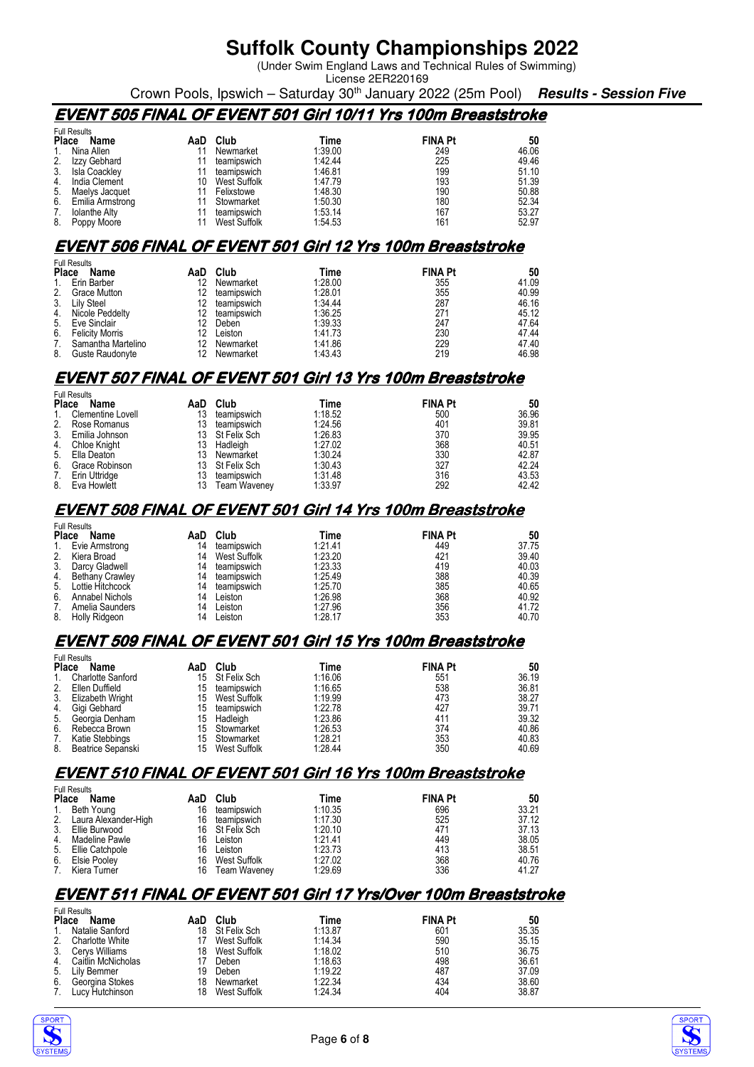(Under Swim England Laws and Technical Rules of Swimming) License 2ER220169

Crown Pools, Ipswich – Saturday 30<sup>th</sup> January 2022 (25m Pool) **Results - Session Five** 

### **EVENT 505 FINAL OF EVENT 501 Girl 10/11 Yrs 100m Breaststroke**

|    | <b>Full Results</b> |     |              |         |                |       |  |  |
|----|---------------------|-----|--------------|---------|----------------|-------|--|--|
|    | Place<br>Name       | AaD | Club         | Time    | <b>FINA Pt</b> | 50    |  |  |
|    | Nina Allen          |     | Newmarket    | 1:39.00 | 249            | 46.06 |  |  |
| 2. | Izzy Gebhard        |     | teamipswich  | 1:42.44 | 225            | 49.46 |  |  |
| 3. | Isla Coackley       |     | teamipswich  | 1:46.81 | 199            | 51.10 |  |  |
| 4. | India Clement       | 10  | West Suffolk | 1:47.79 | 193            | 51.39 |  |  |
| 5. | Maelys Jacquet      |     | Felixstowe   | 1:48.30 | 190            | 50.88 |  |  |
| 6. | Emilia Armstrong    |     | Stowmarket   | 1:50.30 | 180            | 52.34 |  |  |
| 7. | Iolanthe Alty       |     | teamipswich  | 1:53.14 | 167            | 53.27 |  |  |
| 8. | Poppy Moore         |     | West Suffolk | 1:54.53 | 161            | 52.97 |  |  |

#### **EVENT 506 FINAL OF EVENT 501 Girl 12 Yrs 100m Breaststroke**

| <b>Full Results</b> |                        |                   |             |         |                |       |
|---------------------|------------------------|-------------------|-------------|---------|----------------|-------|
| <b>Place</b>        | Name                   | AaD               | Club        | Time    | <b>FINA Pt</b> | 50    |
| 1.                  | Erin Barber            | 12                | Newmarket   | 1:28.00 | 355            | 41.09 |
| 2.                  | <b>Grace Mutton</b>    | 12                | teamipswich | 1:28.01 | 355            | 40.99 |
| 3.                  | Lily Steel             | 12                | teamipswich | 1:34.44 | 287            | 46.16 |
| 4.                  | Nicole Peddelty        | $12 \overline{ }$ | teamipswich | 1:36.25 | 271            | 45.12 |
| 5.                  | Eve Sinclair           | 12                | Deben       | 1:39.33 | 247            | 47.64 |
| 6.                  | <b>Felicity Morris</b> | 12                | Leiston     | 1.41.73 | 230            | 47.44 |
| 7.                  | Samantha Martelino     | 12                | Newmarket   | 1:41.86 | 229            | 47.40 |
| 8.                  | Guste Raudonyte        | 12                | Newmarket   | 1:43.43 | 219            | 46.98 |
|                     |                        |                   |             |         |                |       |

#### **EVENT 507 FINAL OF EVENT 501 Girl 13 Yrs 100m Breaststroke**

|                | <b>Full Results</b> |     |                     |         |                |       |
|----------------|---------------------|-----|---------------------|---------|----------------|-------|
| <b>Place</b>   | Name                | AaD | Club                | Time    | <b>FINA Pt</b> | 50    |
| $\mathbf{1}$ . | Clementine Lovell   | 13  | teamipswich         | 1:18.52 | 500            | 36.96 |
| 2.             | Rose Romanus        | 13  | teamipswich         | 1:24.56 | 401            | 39.81 |
| 3.             | Emilia Johnson      | 13. | St Felix Sch        | 1:26.83 | 370            | 39.95 |
| 4.             | <b>Chloe Knight</b> | 13  | Hadleigh            | 1:27.02 | 368            | 40.51 |
| 5.             | Ella Deaton         | 13  | Newmarket           | 1:30.24 | 330            | 42.87 |
| 6.             | Grace Robinson      | 13  | St Felix Sch        | 1:30.43 | 327            | 42.24 |
| 7.             | Erin Uttridge       | 13  | teamipswich         | 1:31.48 | 316            | 43.53 |
| 8.             | Eva Howlett         | 13  | <b>Team Waveney</b> | 1:33.97 | 292            | 42.42 |

#### **EVENT 508 FINAL OF EVENT 501 Girl 14 Yrs 100m Breaststroke**

|              | <b>Full Results</b>    |     |              |         |                |       |
|--------------|------------------------|-----|--------------|---------|----------------|-------|
| <b>Place</b> | Name                   | AaD | Club         | Time    | <b>FINA Pt</b> | 50    |
| 1.           | Evie Armstrong         | 14  | teamipswich  | 1:21.41 | 449            | 37.75 |
| 2.           | Kiera Broad            | 14  | West Suffolk | 1:23.20 | 421            | 39.40 |
| 3.           | Darcy Gladwell         | 14  | teamipswich  | 1:23.33 | 419            | 40.03 |
|              | 4. Bethany Crawley     | 14  | teamipswich  | 1:25.49 | 388            | 40.39 |
| 5.           | Lottie Hitchcock       | 14  | teamipswich  | 1:25.70 | 385            | 40.65 |
| 6.           | <b>Annabel Nichols</b> | 14  | Leiston      | 1:26.98 | 368            | 40.92 |
| 7.           | Amelia Saunders        | 14  | Leiston      | 1:27.96 | 356            | 41.72 |
| 8.           | Holly Ridgeon          | 14  | Leiston      | 1:28.17 | 353            | 40.70 |

#### **EVENT 509 FINAL OF EVENT 501 Girl 15 Yrs 100m Breaststroke** Full Results

| Name                     | AaD                                           | Club         | Time                                           | <b>FINA Pt</b> | 50    |
|--------------------------|-----------------------------------------------|--------------|------------------------------------------------|----------------|-------|
| <b>Charlotte Sanford</b> |                                               |              | 1:16.06                                        | 551            | 36.19 |
| Ellen Duffield           | 15                                            | teamipswich  | 1:16.65                                        | 538            | 36.81 |
| Elizabeth Wright         | 15                                            | West Suffolk | 1:19.99                                        | 473            | 38.27 |
| Gigi Gebhard             | 15                                            | teamipswich  | 1:22.78                                        | 427            | 39.71 |
| Georgia Denham           | 15                                            | Hadleigh     | 1.23.86                                        | 411            | 39.32 |
|                          |                                               |              | 1:26.53                                        | 374            | 40.86 |
| Katie Stebbings          | 15                                            |              | 1:28.21                                        | 353            | 40.83 |
| Beatrice Sepanski        | 15                                            | West Suffolk | 1:28.44                                        | 350            | 40.69 |
|                          | Full Results<br><b>Place</b><br>Rebecca Brown |              | 15 St Felix Sch<br>15 Stowmarket<br>Stowmarket |                |       |

#### **EVENT 510 FINAL OF EVENT 501 Girl 16 Yrs 100m Breaststroke**

|                | <b>Full Results</b>     |    |                 |         |                |       |  |  |  |
|----------------|-------------------------|----|-----------------|---------|----------------|-------|--|--|--|
| <b>Place</b>   | Name                    |    | AaD Club        | Time    | <b>FINA Pt</b> | 50    |  |  |  |
| $\mathbf{1}$ . | Beth Young              | 16 | teamipswich     | 1:10.35 | 696            | 33.21 |  |  |  |
|                | 2. Laura Alexander-High | 16 | teamipswich     | 1:17.30 | 525            | 37.12 |  |  |  |
|                | 3. Ellie Burwood        |    | 16 St Felix Sch | 1:20.10 | 471            | 37.13 |  |  |  |
| 4.             | Madeline Pawle          | 16 | Leiston         | 1:21.41 | 449            | 38.05 |  |  |  |
|                | 5. Ellie Catchpole      | 16 | Leiston         | 1:23.73 | 413            | 38.51 |  |  |  |
| 6.             | Elsie Pooley            | 16 | West Suffolk    | 1:27.02 | 368            | 40.76 |  |  |  |
| 7.             | Kiera Turner            | 16 | Team Waveney    | 1:29.69 | 336            | 41.27 |  |  |  |

### **EVENT 511 FINAL OF EVENT 501 Girl 17 Yrs/Over 100m Breaststroke**

|              | <b>Full Results</b>    |     |                     |         |                |       |
|--------------|------------------------|-----|---------------------|---------|----------------|-------|
| <b>Place</b> | Name                   | AaD | Club                | Time    | <b>FINA Pt</b> | 50    |
|              | Natalie Sanford        | 18  | St Felix Sch        | 1:13.87 | 601            | 35.35 |
|              | <b>Charlotte White</b> |     | <b>West Suffolk</b> | 1:14.34 | 590            | 35.15 |
|              | Cervs Williams         | 18  | West Suffolk        | 1:18.02 | 510            | 36.75 |
|              | Caitlin McNicholas     |     | Deben               | 1:18.63 | 498            | 36.61 |
|              | Lily Bemmer            | 19  | Deben               | 1:19.22 | 487            | 37.09 |
| 6.           | Georgina Stokes        | 18  | Newmarket           | 1:22.34 | 434            | 38.60 |
|              | Lucy Hutchinson        | 18  | West Suffolk        | 1:24.34 | 404            | 38.87 |
|              |                        |     |                     |         |                |       |



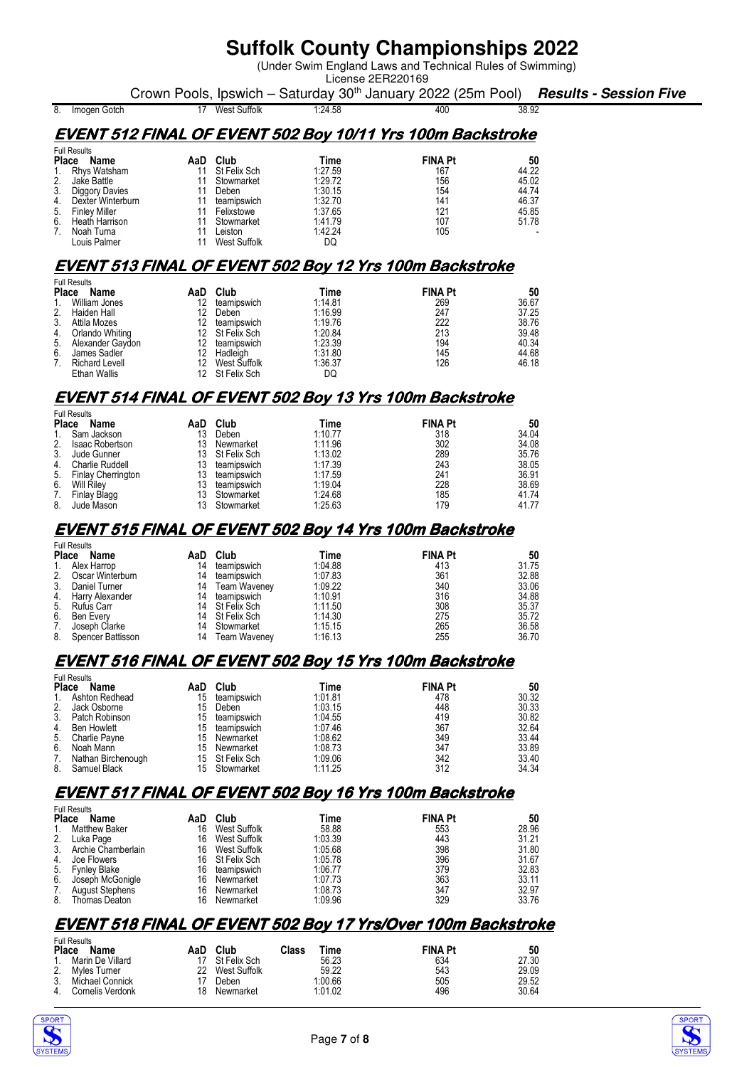(Under Swim England Laws and Technical Rules of Swimming) License 2ER220169

Crown Pools, Ipswich – Saturday 30<sup>th</sup> January 2022 (25m Pool) **Results - Session Five**<br>17 West Suffolk 124,58 400 400 38.92 8. Imogen Gotch

### **EVENT 512 FINAL OF EVENT 502 Boy 10/11 Yrs 100m Backstroke**

| <b>Full Results</b>        |     |                     |         |                |       |
|----------------------------|-----|---------------------|---------|----------------|-------|
| <b>Place</b><br>Name       | AaD | Club                | Time    | <b>FINA Pt</b> | 50    |
| 1. Rhys Watsham            | 11  | St Felix Sch        | 1:27.59 | 167            | 44.22 |
| 2.<br>Jake Battle          | 11  | Stowmarket          | 1:29.72 | 156            | 45.02 |
| 3.<br>Diggory Davies       |     | Deben               | 1:30.15 | 154            | 44.74 |
| 4.<br>Dexter Winterburn    |     | teamipswich         | 1:32.70 | 141            | 46.37 |
| <b>Finley Miller</b><br>5. |     | Felixstowe          | 1:37.65 | 121            | 45.85 |
| 6.<br>Heath Harrison       |     | Stowmarket          | 1:41.79 | 107            | 51.78 |
| Noah Turna<br>7.           |     | Leiston             | 1:42.24 | 105            |       |
| Louis Palmer               |     | <b>West Suffolk</b> | DQ      |                |       |

### **EVENT 513 FINAL OF EVENT 502 Boy 12 Yrs 100m Backstroke**

| <b>Full Results</b>         |     |                 |         |                |       |
|-----------------------------|-----|-----------------|---------|----------------|-------|
| <b>Place</b><br>Name        | AaD | Club            | Time    | <b>FINA Pt</b> | 50    |
| William Jones<br>1.         | 12  | teamipswich     | 1:14.81 | 269            | 36.67 |
| Haiden Hall<br>2.           | 12  | Deben           | 1:16.99 | 247            | 37.25 |
| Attila Mozes<br>3.          | 12  | teamipswich     | 1:19.76 | 222            | 38.76 |
| Orlando Whiting<br>4.       |     | 12 St Felix Sch | 1:20.84 | 213            | 39.48 |
| Alexander Gaydon<br>5.      | 12  | teamipswich     | 1:23.39 | 194            | 40.34 |
| 6.<br>James Sadler          | 12  | Hadleigh        | 1:31.80 | 145            | 44.68 |
| <b>Richard Levell</b><br>7. | 12  | West Suffolk    | 1:36.37 | 126            | 46.18 |
| <b>Ethan Wallis</b>         |     | St Felix Sch    | DO      |                |       |

### **EVENT 514 FINAL OF EVENT 502 Boy 13 Yrs 100m Backstroke**

| <b>Full Results</b> |                           |     |              |         |                |       |  |
|---------------------|---------------------------|-----|--------------|---------|----------------|-------|--|
| <b>Place</b>        | <b>Name</b>               | AaD | Club         | Time    | <b>FINA Pt</b> | 50    |  |
|                     | Sam Jackson               | 13  | Deben        | 1:10.77 | 318            | 34.04 |  |
| 2.                  | <b>Isaac Robertson</b>    | 13  | Newmarket    | 1.11.96 | 302            | 34.08 |  |
| 3.                  | Jude Gunner               | 13. | St Felix Sch | 1:13.02 | 289            | 35.76 |  |
| 4.                  | <b>Charlie Ruddell</b>    | 13  | teamipswich  | 1:17.39 | 243            | 38.05 |  |
| 5.                  | <b>Finlay Cherrington</b> | 13  | teamipswich  | 1:17.59 | 241            | 36.91 |  |
| 6.                  | Will Riley                |     | teamipswich  | 1:19.04 | 228            | 38.69 |  |
| 7.                  | Finlay Blagg              | 13  | Stowmarket   | 1:24.68 | 185            | 41.74 |  |
| 8.                  | Jude Mason                |     | Stowmarket   | 1:25.63 | 179            | 41.77 |  |

#### **EVENT 515 FINAL OF EVENT 502 Boy 14 Yrs 100m Backstroke**

|                | <b>Full Results</b> |    |                 |         |                |       |
|----------------|---------------------|----|-----------------|---------|----------------|-------|
| Place          | Name                |    | AaD Club        | Time    | <b>FINA Pt</b> | 50    |
| $\mathbf{1}$ . | Alex Harrop         | 14 | teamipswich     | 1:04.88 | 413            | 31.75 |
| 2.             | Oscar Winterburn    | 14 | teamipswich     | 1:07.83 | 361            | 32.88 |
| 3.             | Daniel Turner       | 14 | Team Waveney    | 1.09.22 | 340            | 33.06 |
|                | 4. Harry Alexander  | 14 | teamipswich     | 1:10.91 | 316            | 34.88 |
|                | 5. Rufus Carr       |    | 14 St Felix Sch | 1:11.50 | 308            | 35.37 |
| 6.             | Ben Everv           |    | 14 St Felix Sch | 1:14.30 | 275            | 35.72 |
| 7.             | Joseph Clarke       | 14 | Stowmarket      | 1:15.15 | 265            | 36.58 |
| 8.             | Spencer Battisson   | 14 | Team Waveney    | 1:16.13 | 255            | 36.70 |

### **EVENT 516 FINAL OF EVENT 502 Boy 15 Yrs 100m Backstroke**

| <b>Full Results</b> |                    |     |                 |         |                |       |
|---------------------|--------------------|-----|-----------------|---------|----------------|-------|
| <b>Place</b>        | Name               | AaD | Club            | Time    | <b>FINA Pt</b> | 50    |
| 1.                  | Ashton Redhead     | 15  | teamipswich     | 1:01.81 | 478            | 30.32 |
| 2.                  | Jack Osborne       | 15  | Deben           | 1:03.15 | 448            | 30.33 |
| 3.                  | Patch Robinson     | 15  | teamipswich     | 1:04.55 | 419            | 30.82 |
| 4.                  | <b>Ben Howlett</b> | 15  | teamipswich     | 1:07.46 | 367            | 32.64 |
| 5.                  | Charlie Payne      |     | 15 Newmarket    | 1:08.62 | 349            | 33.44 |
| 6.                  | Noah Mann          | 15  | Newmarket       | 1:08.73 | 347            | 33.89 |
| 7.                  | Nathan Birchenough |     | 15 St Felix Sch | 1:09.06 | 342            | 33.40 |
| 8.                  | Samuel Black       |     | 15 Stowmarket   | 1:11.25 | 312            | 34.34 |

### **EVENT 517 FINAL OF EVENT 502 Boy 16 Yrs 100m Backstroke**

| <b>Full Results</b> |                        |     |                     |         |                |       |  |
|---------------------|------------------------|-----|---------------------|---------|----------------|-------|--|
| <b>Place</b>        | Name                   | AaD | Club                | Time    | <b>FINA Pt</b> | 50    |  |
|                     | <b>Matthew Baker</b>   | 16  | West Suffolk        | 58.88   | 553            | 28.96 |  |
|                     | Luka Page              | 16  | West Suffolk        | 1:03.39 | 443            | 31.21 |  |
| 3.                  | Archie Chamberlain     | 16  | <b>West Suffolk</b> | 1:05.68 | 398            | 31.80 |  |
| 4.                  | Joe Flowers            | 16  | St Felix Sch        | 1:05.78 | 396            | 31.67 |  |
| 5.                  | <b>Fynley Blake</b>    | 16  | teamipswich         | 1:06.77 | 379            | 32.83 |  |
| 6.                  | Joseph McGonigle       | 16  | Newmarket           | 1:07.73 | 363            | 33.11 |  |
| 7.                  | <b>August Stephens</b> | 16  | Newmarket           | 1:08.73 | 347            | 32.97 |  |
| 8.                  | Thomas Deaton          | 16  | Newmarket           | 1.09.96 | 329            | 33.76 |  |

### **EVENT 518 FINAL OF EVENT 502 Boy 17 Yrs/Over 100m Backstroke**

| <b>Full Results</b><br><b>Place</b><br>Name | AaD | Club         | Class | Time    | <b>FINA Pt</b> | 50    |
|---------------------------------------------|-----|--------------|-------|---------|----------------|-------|
| Marin De Villard                            |     | St Felix Sch |       | 56.23   | 634            | 27.30 |
| Myles Turner                                | 22  | West Suffolk |       | 59.22   | 543            | 29.09 |
| Michael Connick                             |     | Deben        |       | 1:00.66 | 505            | 29.52 |
| Cornelis Verdonk                            | 18  | Newmarket    |       | 1:01.02 | 496            | 30.64 |